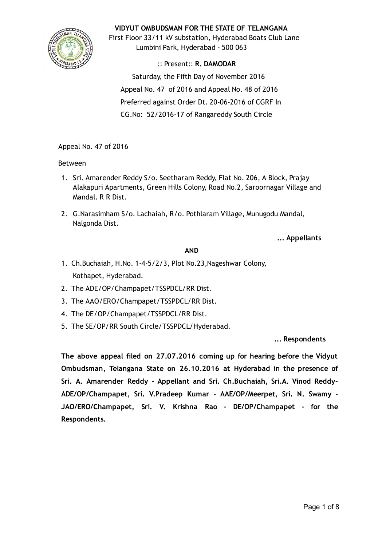

# VIDYUT OMBUDSMAN FOR THE STATE OF TELANGANA

First Floor 33/11 kV substation, Hyderabad Boats Club Lane Lumbini Park, Hyderabad ‐ 500 063

:: Present:: R. DAMODAR Saturday, the Fifth Day of November 2016 Appeal No. 47 of 2016 and Appeal No. 48 of 2016 Preferred against Order Dt. 20‐06‐2016 of CGRF In CG.No: 52/2016‐17 of Rangareddy South Circle

# Appeal No. 47 of 2016

# Between

- 1. Sri. Amarender Reddy S/o. Seetharam Reddy, Flat No. 206, A Block, Prajay Alakapuri Apartments, Green Hills Colony, Road No.2, Saroornagar Village and Mandal. R R Dist.
- 2. G.Narasimham S/o. Lachaiah, R/o. Pothlaram Village, Munugodu Mandal, Nalgonda Dist.

... Appellants

# AND

- 1. Ch.Buchaiah, H.No. 1‐4‐5/2/3, Plot No.23,Nageshwar Colony, Kothapet, Hyderabad.
- 2. The ADE/OP/Champapet/TSSPDCL/RR Dist.
- 3. The AAO/ERO/Champapet/TSSPDCL/RR Dist.
- 4. The DE/OP/Champapet/TSSPDCL/RR Dist.
- 5. The SE/OP/RR South Circle/TSSPDCL/Hyderabad.

## ... Respondents

The above appeal filed on 27.07.2016 coming up for hearing before the Vidyut Ombudsman, Telangana State on 26.10.2016 at Hyderabad in the presence of Sri. A. Amarender Reddy ‐ Appellant and Sri. Ch.Buchaiah, Sri.A. Vinod Reddy‐ ADE/OP/Champapet, Sri. V.Pradeep Kumar ‐ AAE/OP/Meerpet, Sri. N. Swamy ‐ JAO/ERO/Champapet, Sri. V. Krishna Rao ‐ DE/OP/Champapet ‐ for the Respondents.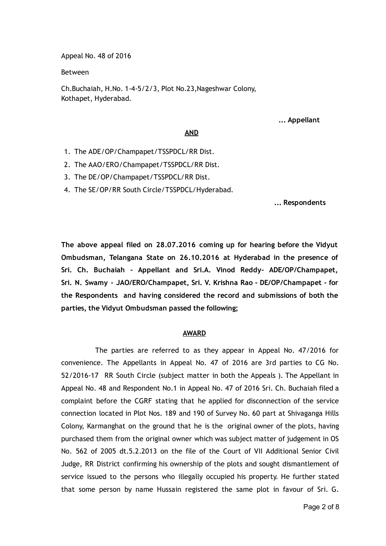Appeal No. 48 of 2016

Between

Ch.Buchaiah, H.No. 1‐4‐5/2/3, Plot No.23,Nageshwar Colony, Kothapet, Hyderabad.

... Appellant

#### AND

- 1. The ADE/OP/Champapet/TSSPDCL/RR Dist.
- 2. The AAO/ERO/Champapet/TSSPDCL/RR Dist.
- 3. The DE/OP/Champapet/TSSPDCL/RR Dist.
- 4. The SE/OP/RR South Circle/TSSPDCL/Hyderabad.

... Respondents

The above appeal filed on 28.07.2016 coming up for hearing before the Vidyut Ombudsman, Telangana State on 26.10.2016 at Hyderabad in the presence of Sri. Ch. Buchaiah ‐ Appellant and Sri.A. Vinod Reddy‐ ADE/OP/Champapet, Sri. N. Swamy ‐ JAO/ERO/Champapet, Sri. V. Krishna Rao ‐ DE/OP/Champapet ‐ for the Respondents and having considered the record and submissions of both the parties, the Vidyut Ombudsman passed the following;

#### AWARD

The parties are referred to as they appear in Appeal No. 47/2016 for convenience. The Appellants in Appeal No. 47 of 2016 are 3rd parties to CG No. 52/2016‐17 RR South Circle (subject matter in both the Appeals ). The Appellant in Appeal No. 48 and Respondent No.1 in Appeal No. 47 of 2016 Sri. Ch. Buchaiah filed a complaint before the CGRF stating that he applied for disconnection of the service connection located in Plot Nos. 189 and 190 of Survey No. 60 part at Shivaganga Hills Colony, Karmanghat on the ground that he is the original owner of the plots, having purchased them from the original owner which was subject matter of judgement in OS No. 562 of 2005 dt.5.2.2013 on the file of the Court of VII Additional Senior Civil Judge, RR District confirming his ownership of the plots and sought dismantlement of service issued to the persons who illegally occupied his property. He further stated that some person by name Hussain registered the same plot in favour of Sri. G.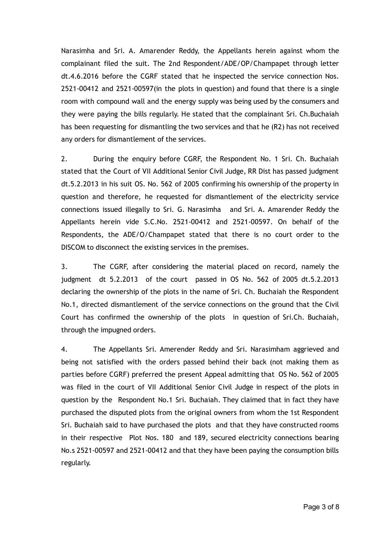Narasimha and Sri. A. Amarender Reddy, the Appellants herein against whom the complainant filed the suit. The 2nd Respondent/ADE/OP/Champapet through letter dt.4.6.2016 before the CGRF stated that he inspected the service connection Nos. 2521‐00412 and 2521‐00597(in the plots in question) and found that there is a single room with compound wall and the energy supply was being used by the consumers and they were paying the bills regularly. He stated that the complainant Sri. Ch.Buchaiah has been requesting for dismantling the two services and that he (R2) has not received any orders for dismantlement of the services.

2. During the enquiry before CGRF, the Respondent No. 1 Sri. Ch. Buchaiah stated that the Court of VII Additional Senior Civil Judge, RR Dist has passed judgment dt.5.2.2013 in his suit OS. No. 562 of 2005 confirming his ownership of the property in question and therefore, he requested for dismantlement of the electricity service connections issued illegally to Sri. G. Narasimha and Sri. A. Amarender Reddy the Appellants herein vide S.C.No. 2521‐00412 and 2521‐00597. On behalf of the Respondents, the ADE/O/Champapet stated that there is no court order to the DISCOM to disconnect the existing services in the premises.

3. The CGRF, after considering the material placed on record, namely the judgment dt 5.2.2013 of the court passed in OS No. 562 of 2005 dt.5.2.2013 declaring the ownership of the plots in the name of Sri. Ch. Buchaiah the Respondent No.1, directed dismantlement of the service connections on the ground that the Civil Court has confirmed the ownership of the plots in question of Sri.Ch. Buchaiah, through the impugned orders.

4. The Appellants Sri. Amerender Reddy and Sri. Narasimham aggrieved and being not satisfied with the orders passed behind their back (not making them as parties before CGRF) preferred the present Appeal admitting that OS No. 562 of 2005 was filed in the court of VII Additional Senior Civil Judge in respect of the plots in question by the Respondent No.1 Sri. Buchaiah. They claimed that in fact they have purchased the disputed plots from the original owners from whom the 1st Respondent Sri. Buchaiah said to have purchased the plots and that they have constructed rooms in their respective Plot Nos. 180 and 189, secured electricity connections bearing No.s 2521‐00597 and 2521‐00412 and that they have been paying the consumption bills regularly.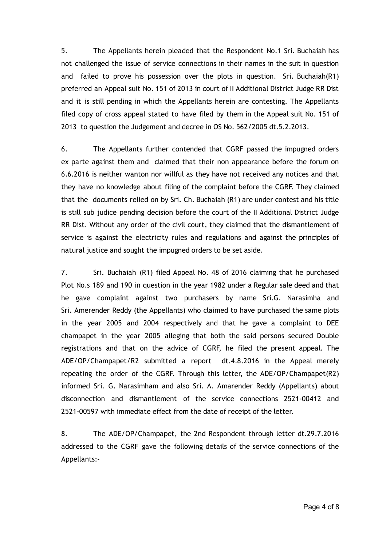5. The Appellants herein pleaded that the Respondent No.1 Sri. Buchaiah has not challenged the issue of service connections in their names in the suit in question and failed to prove his possession over the plots in question. Sri. Buchaiah(R1) preferred an Appeal suit No. 151 of 2013 in court of II Additional District Judge RR Dist and it is still pending in which the Appellants herein are contesting. The Appellants filed copy of cross appeal stated to have filed by them in the Appeal suit No. 151 of 2013 to question the Judgement and decree in OS No. 562/2005 dt.5.2.2013.

6. The Appellants further contended that CGRF passed the impugned orders ex parte against them and claimed that their non appearance before the forum on 6.6.2016 is neither wanton nor willful as they have not received any notices and that they have no knowledge about filing of the complaint before the CGRF. They claimed that the documents relied on by Sri. Ch. Buchaiah (R1) are under contest and his title is still sub judice pending decision before the court of the II Additional District Judge RR Dist. Without any order of the civil court, they claimed that the dismantlement of service is against the electricity rules and regulations and against the principles of natural justice and sought the impugned orders to be set aside.

7. Sri. Buchaiah (R1) filed Appeal No. 48 of 2016 claiming that he purchased Plot No.s 189 and 190 in question in the year 1982 under a Regular sale deed and that he gave complaint against two purchasers by name Sri.G. Narasimha and Sri. Amerender Reddy (the Appellants) who claimed to have purchased the same plots in the year 2005 and 2004 respectively and that he gave a complaint to DEE champapet in the year 2005 alleging that both the said persons secured Double registrations and that on the advice of CGRF, he filed the present appeal. The ADE/OP/Champapet/R2 submitted a report dt.4.8.2016 in the Appeal merely repeating the order of the CGRF. Through this letter, the ADE/OP/Champapet(R2) informed Sri. G. Narasimham and also Sri. A. Amarender Reddy (Appellants) about disconnection and dismantlement of the service connections 2521‐00412 and 2521‐00597 with immediate effect from the date of receipt of the letter.

8. The ADE/OP/Champapet, the 2nd Respondent through letter dt.29.7.2016 addressed to the CGRF gave the following details of the service connections of the Appellants:‐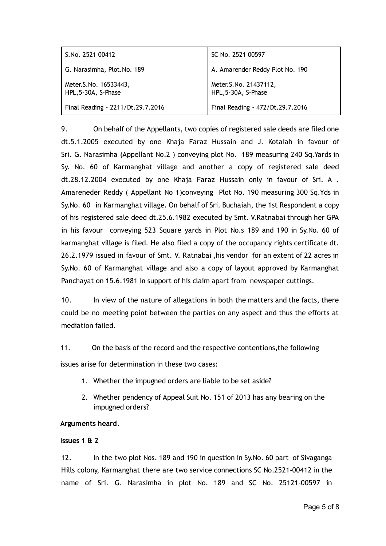| S.No. 2521 00412                               | SC No. 2521 00597                              |
|------------------------------------------------|------------------------------------------------|
| G. Narasimha, Plot.No. 189                     | A. Amarender Reddy Plot No. 190                |
| Meter. S. No. 16533443,<br>HPL, 5-30A, S-Phase | Meter. S. No. 21437112,<br>HPL, 5-30A, S-Phase |
| Final Reading - 2211/Dt.29.7.2016              | Final Reading - 472/Dt.29.7.2016               |

9. On behalf of the Appellants, two copies of registered sale deeds are filed one dt.5.1.2005 executed by one Khaja Faraz Hussain and J. Kotaiah in favour of Sri. G. Narasimha (Appellant No.2 ) conveying plot No. 189 measuring 240 Sq.Yards in Sy. No. 60 of Karmanghat village and another a copy of registered sale deed dt.28.12.2004 executed by one Khaja Faraz Hussain only in favour of Sri. A . Amareneder Reddy ( Appellant No 1)conveying Plot No. 190 measuring 300 Sq.Yds in Sy.No. 60 in Karmanghat village. On behalf of Sri. Buchaiah, the 1st Respondent a copy of his registered sale deed dt.25.6.1982 executed by Smt. V.Ratnabai through her GPA in his favour conveying 523 Square yards in Plot No.s 189 and 190 in Sy.No. 60 of karmanghat village is filed. He also filed a copy of the occupancy rights certificate dt. 26.2.1979 issued in favour of Smt. V. Ratnabai ,his vendor for an extent of 22 acres in Sy.No. 60 of Karmanghat village and also a copy of layout approved by Karmanghat Panchayat on 15.6.1981 in support of his claim apart from newspaper cuttings.

10. In view of the nature of allegations in both the matters and the facts, there could be no meeting point between the parties on any aspect and thus the efforts at mediation failed.

11. On the basis of the record and the respective contentions,the following

issues arise for determination in these two cases:

- 1. Whether the impugned orders are liable to be set aside?
- 2. Whether pendency of Appeal Suit No. 151 of 2013 has any bearing on the impugned orders?

# Arguments heard.

## Issues 1 & 2

12. In the two plot Nos. 189 and 190 in question in Sy.No. 60 part of Sivaganga Hills colony, Karmanghat there are two service connections SC No.2521‐00412 in the name of Sri. G. Narasimha in plot No. 189 and SC No. 25121‐00597 in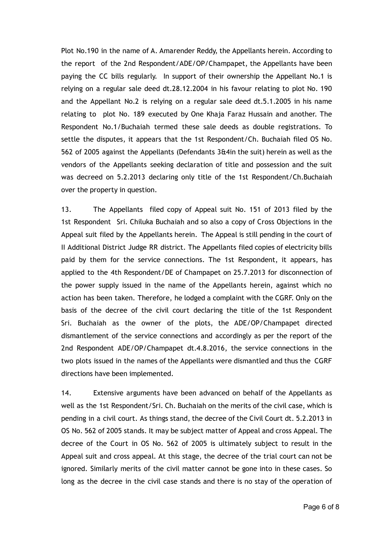Plot No.190 in the name of A. Amarender Reddy, the Appellants herein. According to the report of the 2nd Respondent/ADE/OP/Champapet, the Appellants have been paying the CC bills regularly. In support of their ownership the Appellant No.1 is relying on a regular sale deed dt.28.12.2004 in his favour relating to plot No. 190 and the Appellant No.2 is relying on a regular sale deed dt.5.1.2005 in his name relating to plot No. 189 executed by One Khaja Faraz Hussain and another. The Respondent No.1/Buchaiah termed these sale deeds as double registrations. To settle the disputes, it appears that the 1st Respondent/Ch. Buchaiah filed OS No. 562 of 2005 against the Appellants (Defendants 3&4in the suit) herein as well as the vendors of the Appellants seeking declaration of title and possession and the suit was decreed on 5.2.2013 declaring only title of the 1st Respondent/Ch.Buchaiah over the property in question.

13. The Appellants filed copy of Appeal suit No. 151 of 2013 filed by the 1st Respondent Sri. Chiluka Buchaiah and so also a copy of Cross Objections in the Appeal suit filed by the Appellants herein. The Appeal is still pending in the court of II Additional District Judge RR district. The Appellants filed copies of electricity bills paid by them for the service connections. The 1st Respondent, it appears, has applied to the 4th Respondent/DE of Champapet on 25.7.2013 for disconnection of the power supply issued in the name of the Appellants herein, against which no action has been taken. Therefore, he lodged a complaint with the CGRF. Only on the basis of the decree of the civil court declaring the title of the 1st Respondent Sri. Buchaiah as the owner of the plots, the ADE/OP/Champapet directed dismantlement of the service connections and accordingly as per the report of the 2nd Respondent ADE/OP/Champapet dt.4.8.2016, the service connections in the two plots issued in the names of the Appellants were dismantled and thus the CGRF directions have been implemented.

14. Extensive arguments have been advanced on behalf of the Appellants as well as the 1st Respondent/Sri. Ch. Buchaiah on the merits of the civil case, which is pending in a civil court. As things stand, the decree of the Civil Court dt. 5.2.2013 in OS No. 562 of 2005 stands. It may be subject matter of Appeal and cross Appeal. The decree of the Court in OS No. 562 of 2005 is ultimately subject to result in the Appeal suit and cross appeal. At this stage, the decree of the trial court can not be ignored. Similarly merits of the civil matter cannot be gone into in these cases. So long as the decree in the civil case stands and there is no stay of the operation of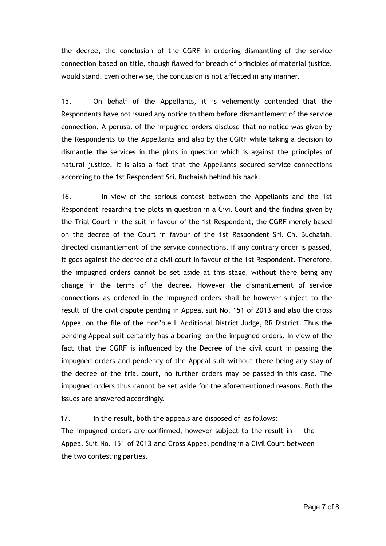the decree, the conclusion of the CGRF in ordering dismantling of the service connection based on title, though flawed for breach of principles of material justice, would stand. Even otherwise, the conclusion is not affected in any manner.

15. On behalf of the Appellants, it is vehemently contended that the Respondents have not issued any notice to them before dismantlement of the service connection. A perusal of the impugned orders disclose that no notice was given by the Respondents to the Appellants and also by the CGRF while taking a decision to dismantle the services in the plots in question which is against the principles of natural justice. It is also a fact that the Appellants secured service connections according to the 1st Respondent Sri. Buchaiah behind his back.

16. In view of the serious contest between the Appellants and the 1st Respondent regarding the plots in question in a Civil Court and the finding given by the Trial Court in the suit in favour of the 1st Respondent, the CGRF merely based on the decree of the Court in favour of the 1st Respondent Sri. Ch. Buchaiah, directed dismantlement of the service connections. If any contrary order is passed, it goes against the decree of a civil court in favour of the 1st Respondent. Therefore, the impugned orders cannot be set aside at this stage, without there being any change in the terms of the decree. However the dismantlement of service connections as ordered in the impugned orders shall be however subject to the result of the civil dispute pending in Appeal suit No. 151 of 2013 and also the cross Appeal on the file of the Hon'ble II Additional District Judge, RR District. Thus the pending Appeal suit certainly has a bearing on the impugned orders. In view of the fact that the CGRF is influenced by the Decree of the civil court in passing the impugned orders and pendency of the Appeal suit without there being any stay of the decree of the trial court, no further orders may be passed in this case. The impugned orders thus cannot be set aside for the aforementioned reasons. Both the issues are answered accordingly.

17. In the result, both the appeals are disposed of as follows:

The impugned orders are confirmed, however subject to the result in the Appeal Suit No. 151 of 2013 and Cross Appeal pending in a Civil Court between the two contesting parties.